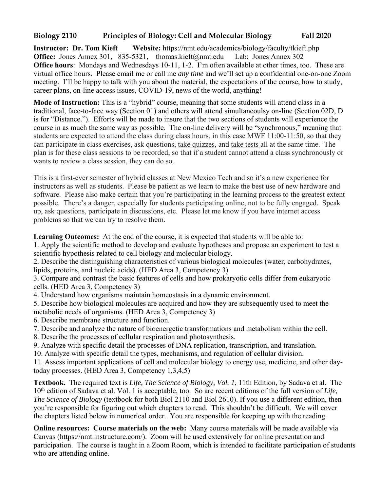# **Biology 2110 Principles of Biology: Cell and Molecular Biology Fall 2020**

**Instructor: Dr. Tom Kieft Website:** https://nmt.edu/academics/biology/faculty/tkieft.php **Office:** Jones Annex 301, 835-5321, thomas.kieft@nmt.edu Lab: Jones Annex 302 **Office hours**: Mondays and Wednesdays 10-11, 1-2. I'm often available at other times, too. These are virtual office hours. Please email me or call me *any time* and we'll set up a confidential one-on-one Zoom meeting. I'll be happy to talk with you about the material, the expectations of the course, how to study, career plans, on-line access issues, COVID-19, news of the world, anything!

**Mode of Instruction:** This is a "hybrid" course, meaning that some students will attend class in a traditional, face-to-face way (Section 01) and others will attend simultaneoulsy on-line (Section 02D, D is for "Distance."). Efforts will be made to insure that the two sections of students will experience the course in as much the same way as possible. The on-line delivery will be "synchronous," meaning that students are expected to attend the class during class hours, in this case MWF 11:00-11:50, so that they can participate in class exercises, ask questions, take quizzes, and take tests all at the same time. The plan is for these class sessions to be recorded, so that if a student cannot attend a class synchronously or wants to review a class session, they can do so.

This is a first-ever semester of hybrid classes at New Mexico Tech and so it's a new experience for instructors as well as students. Please be patient as we learn to make the best use of new hardware and software. Please also make certain that you're participating in the learning process to the greatest extent possible. There's a danger, especially for students participating online, not to be fully engaged. Speak up, ask questions, participate in discussions, etc. Please let me know if you have internet access problems so that we can try to resolve them.

**Learning Outcomes:** At the end of the course, it is expected that students will be able to: 1. Apply the scientific method to develop and evaluate hypotheses and propose an experiment to test a

scientific hypothesis related to cell biology and molecular biology.

2. Describe the distinguishing characteristics of various biological molecules (water, carbohydrates, lipids, proteins, and nucleic acids). (HED Area 3, Competency 3)

3. Compare and contrast the basic features of cells and how prokaryotic cells differ from eukaryotic cells. (HED Area 3, Competency 3)

4. Understand how organisms maintain homeostasis in a dynamic environment.

5. Describe how biological molecules are acquired and how they are subsequently used to meet the metabolic needs of organisms. (HED Area 3, Competency 3)

- 6. Describe membrane structure and function.
- 7. Describe and analyze the nature of bioenergetic transformations and metabolism within the cell.
- 8. Describe the processes of cellular respiration and photosynthesis.
- 9. Analyze with specific detail the processes of DNA replication, transcription, and translation.
- 10. Analyze with specific detail the types, mechanisms, and regulation of cellular division.

11. Assess important applications of cell and molecular biology to energy use, medicine, and other daytoday processes. (HED Area 3, Competency 1,3,4,5)

**Textbook.** The required text is *Life, The Science of Biology, Vol. 1*, 11th Edition, by Sadava et al. The 10th edition of Sadava et al. Vol. 1 is acceptable, too. So are recent editions of the full version of *Life, The Science of Biology* (textbook for both Biol 2110 and Biol 2610). If you use a different edition, then you're responsible for figuring out which chapters to read. This shouldn't be difficult. We will cover the chapters listed below in numerical order. You are responsible for keeping up with the reading.

**Online resources: Course materials on the web:** Many course materials will be made available via Canvas (https://nmt.instructure.com/). Zoom will be used extensively for online presentation and participation. The course is taught in a Zoom Room, which is intended to facilitate participation of students who are attending online.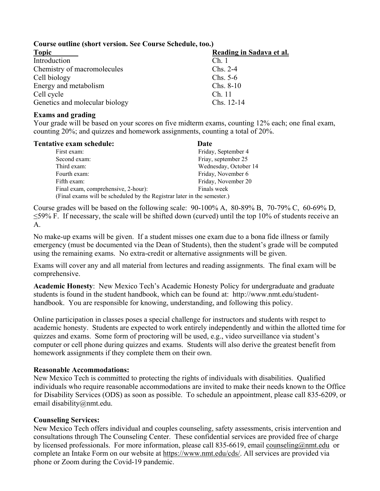## **Course outline (short version. See Course Schedule, too.)**

| <b>Topic</b>                   | Reading in Sadava et al. |  |
|--------------------------------|--------------------------|--|
| Introduction                   | Ch.1                     |  |
| Chemistry of macromolecules    | $Chs. 2-4$               |  |
| Cell biology                   | $Chs. 5-6$               |  |
| Energy and metabolism          | $Chs. 8-10$              |  |
| Cell cycle                     | Ch. 11                   |  |
| Genetics and molecular biology | Chs. 12-14               |  |

#### **Exams and grading**

Your grade will be based on your scores on five midterm exams, counting 12% each; one final exam, counting 20%; and quizzes and homework assignments, counting a total of 20%.

| <b>Tentative exam schedule:</b>                                         | Date                  |
|-------------------------------------------------------------------------|-----------------------|
| First exam:                                                             | Friday, September 4   |
| Second exam:                                                            | Friay, september 25   |
| Third exam:                                                             | Wednesday, October 14 |
| Fourth exam:                                                            | Friday, November 6    |
| Fifth exam:                                                             | Friday, November 20   |
| Final exam, comprehensive, 2-hour):                                     | Finals week           |
| (Final exams will be scheduled by the Registrar later in the semester.) |                       |

Course grades will be based on the following scale: 90-100% A, 80-89% B, 70-79% C, 60-69% D, ≤59% F. If necessary, the scale will be shifted down (curved) until the top 10% of students receive an A.

No make-up exams will be given. If a student misses one exam due to a bona fide illness or family emergency (must be documented via the Dean of Students), then the student's grade will be computed using the remaining exams. No extra-credit or alternative assignments will be given.

Exams will cover any and all material from lectures and reading assignments. The final exam will be comprehensive.

**Academic Honesty**: New Mexico Tech's Academic Honesty Policy for undergraduate and graduate students is found in the student handbook, which can be found at: http://www.nmt.edu/studenthandbook. You are responsible for knowing, understanding, and following this policy.

Online participation in classes poses a special challenge for instructors and students with respct to academic honesty. Students are expected to work entirely independently and within the allotted time for quizzes and exams. Some form of proctoring will be used, e.g., video surveillance via student's computer or cell phone during quizzes and exams. Students will also derive the greatest benefit from homework assignments if they complete them on their own.

## **Reasonable Accommodations:**

New Mexico Tech is committed to protecting the rights of individuals with disabilities. Qualified individuals who require reasonable accommodations are invited to make their needs known to the Office for Disability Services (ODS) as soon as possible. To schedule an appointment, please call 835-6209, or email disability@nmt.edu.

## **Counseling Services:**

New Mexico Tech offers individual and couples counseling, safety assessments, crisis intervention and consultations through The Counseling Center. These confidential services are provided free of charge by licensed professionals. For more information, please call 835-6619, email counseling@nmt.edu or complete an Intake Form on our website at https://www.nmt.edu/cds/. All services are provided via phone or Zoom during the Covid-19 pandemic.